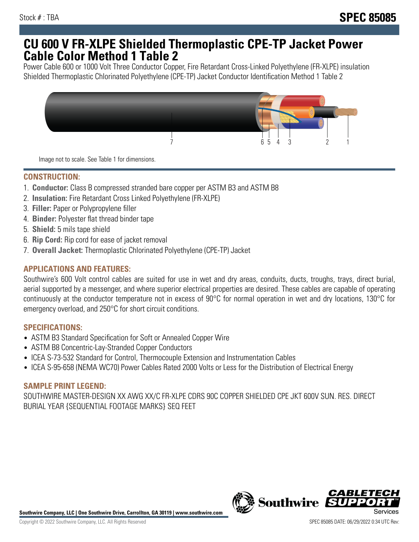## **CU 600 V FR-XLPE Shielded Thermoplastic CPE-TP Jacket Power Cable Color Method 1 Table 2**

Power Cable 600 or 1000 Volt Three Conductor Copper, Fire Retardant Cross-Linked Polyethylene (FR-XLPE) insulation Shielded Thermoplastic Chlorinated Polyethylene (CPE-TP) Jacket Conductor Identification Method 1 Table 2



Image not to scale. See Table 1 for dimensions.

## **CONSTRUCTION:**

- 1. **Conductor:** Class B compressed stranded bare copper per ASTM B3 and ASTM B8
- 2. **Insulation:** Fire Retardant Cross Linked Polyethylene (FR-XLPE)
- 3. **Filler:** Paper or Polypropylene filler
- 4. **Binder:** Polyester flat thread binder tape
- 5. **Shield:** 5 mils tape shield
- 6. **Rip Cord:** Rip cord for ease of jacket removal
- 7. **Overall Jacket:** Thermoplastic Chlorinated Polyethylene (CPE-TP) Jacket

### **APPLICATIONS AND FEATURES:**

Southwire's 600 Volt control cables are suited for use in wet and dry areas, conduits, ducts, troughs, trays, direct burial, aerial supported by a messenger, and where superior electrical properties are desired. These cables are capable of operating continuously at the conductor temperature not in excess of 90°C for normal operation in wet and dry locations, 130°C for emergency overload, and 250°C for short circuit conditions.

#### **SPECIFICATIONS:**

- ASTM B3 Standard Specification for Soft or Annealed Copper Wire
- ASTM B8 Concentric-Lay-Stranded Copper Conductors
- ICEA S-73-532 Standard for Control, Thermocouple Extension and Instrumentation Cables
- ICEA S-95-658 (NEMA WC70) Power Cables Rated 2000 Volts or Less for the Distribution of Electrical Energy

#### **SAMPLE PRINT LEGEND:**

SOUTHWIRE MASTER-DESIGN XX AWG XX/C FR-XLPE CDRS 90C COPPER SHIELDED CPE JKT 600V SUN. RES. DIRECT BURIAL YEAR {SEQUENTIAL FOOTAGE MARKS} SEQ FEET